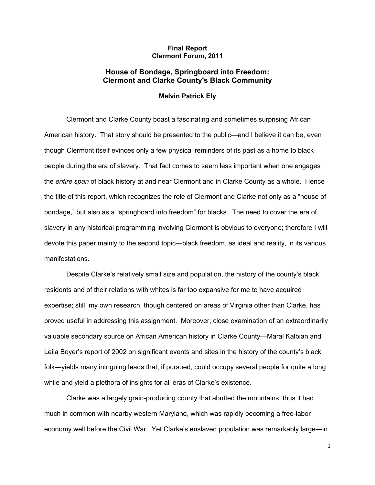## **Final Report Clermont Forum, 2011**

## **House of Bondage, Springboard into Freedom: Clermont and Clarke County's Black Community**

## **Melvin Patrick Ely**

Clermont and Clarke County boast a fascinating and sometimes surprising African American history. That story should be presented to the public—and I believe it can be, even though Clermont itself evinces only a few physical reminders of its past as a home to black people during the era of slavery. That fact comes to seem less important when one engages the *entire span* of black history at and near Clermont and in Clarke County as a whole. Hence the title of this report, which recognizes the role of Clermont and Clarke not only as a "house of bondage," but also as a "springboard into freedom" for blacks. The need to cover the era of slavery in any historical programming involving Clermont is obvious to everyone; therefore I will devote this paper mainly to the second topic—black freedom, as ideal and reality, in its various manifestations.

Despite Clarke's relatively small size and population, the history of the county's black residents and of their relations with whites is far too expansive for me to have acquired expertise; still, my own research, though centered on areas of Virginia other than Clarke, has proved useful in addressing this assignment. Moreover, close examination of an extraordinarily valuable secondary source on African American history in Clarke County—Maral Kalbian and Leila Boyer's report of 2002 on significant events and sites in the history of the county's black folk—yields many intriguing leads that, if pursued, could occupy several people for quite a long while and yield a plethora of insights for all eras of Clarke's existence.

Clarke was a largely grain-producing county that abutted the mountains; thus it had much in common with nearby western Maryland, which was rapidly becoming a free-labor economy well before the Civil War. Yet Clarke's enslaved population was remarkably large—in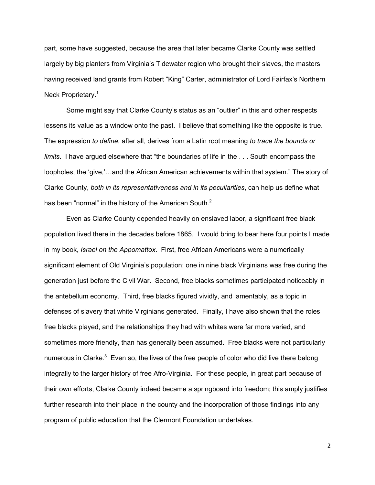part, some have suggested, because the area that later became Clarke County was settled largely by big planters from Virginia's Tidewater region who brought their slaves, the masters having received land grants from Robert "King" Carter, administrator of Lord Fairfax's Northern Neck Proprietary.<sup>1</sup>

Some might say that Clarke County's status as an "outlier" in this and other respects lessens its value as a window onto the past. I believe that something like the opposite is true. The expression *to define*, after all, derives from a Latin root meaning *to trace the bounds or limits*. I have argued elsewhere that "the boundaries of life in the . . . South encompass the loopholes, the 'give,'…and the African American achievements within that system." The story of Clarke County, *both in its representativeness and in its peculiarities*, can help us define what has been "normal" in the history of the American South.<sup>2</sup>

Even as Clarke County depended heavily on enslaved labor, a significant free black population lived there in the decades before 1865. I would bring to bear here four points I made in my book, *Israel on the Appomattox*. First, free African Americans were a numerically significant element of Old Virginia's population; one in nine black Virginians was free during the generation just before the Civil War. Second, free blacks sometimes participated noticeably in the antebellum economy. Third, free blacks figured vividly, and lamentably, as a topic in defenses of slavery that white Virginians generated. Finally, I have also shown that the roles free blacks played, and the relationships they had with whites were far more varied, and sometimes more friendly, than has generally been assumed. Free blacks were not particularly numerous in Clarke. $3$  Even so, the lives of the free people of color who did live there belong integrally to the larger history of free Afro-Virginia. For these people, in great part because of their own efforts, Clarke County indeed became a springboard into freedom; this amply justifies further research into their place in the county and the incorporation of those findings into any program of public education that the Clermont Foundation undertakes.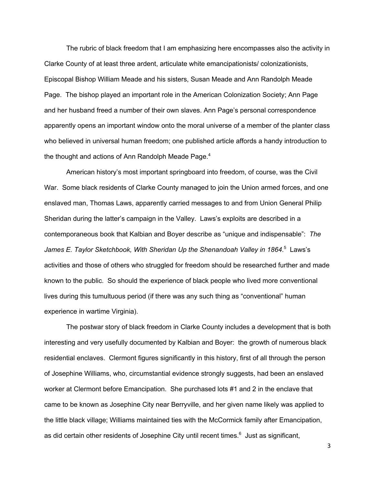The rubric of black freedom that I am emphasizing here encompasses also the activity in Clarke County of at least three ardent, articulate white emancipationists/ colonizationists, Episcopal Bishop William Meade and his sisters, Susan Meade and Ann Randolph Meade Page. The bishop played an important role in the American Colonization Society; Ann Page and her husband freed a number of their own slaves. Ann Page's personal correspondence apparently opens an important window onto the moral universe of a member of the planter class who believed in universal human freedom; one published article affords a handy introduction to the thought and actions of Ann Randolph Meade Page.<sup>4</sup>

American history's most important springboard into freedom, of course, was the Civil War. Some black residents of Clarke County managed to join the Union armed forces, and one enslaved man, Thomas Laws, apparently carried messages to and from Union General Philip Sheridan during the latter's campaign in the Valley. Laws's exploits are described in a contemporaneous book that Kalbian and Boyer describe as "unique and indispensable": *The James E. Taylor Sketchbook, With Sheridan Up the Shenandoah Valley in 1864*. 5 Laws's activities and those of others who struggled for freedom should be researched further and made known to the public. So should the experience of black people who lived more conventional lives during this tumultuous period (if there was any such thing as "conventional" human experience in wartime Virginia).

The postwar story of black freedom in Clarke County includes a development that is both interesting and very usefully documented by Kalbian and Boyer: the growth of numerous black residential enclaves. Clermont figures significantly in this history, first of all through the person of Josephine Williams, who, circumstantial evidence strongly suggests, had been an enslaved worker at Clermont before Emancipation. She purchased lots #1 and 2 in the enclave that came to be known as Josephine City near Berryville, and her given name likely was applied to the little black village; Williams maintained ties with the McCormick family after Emancipation, as did certain other residents of Josephine City until recent times.<sup>6</sup> Just as significant,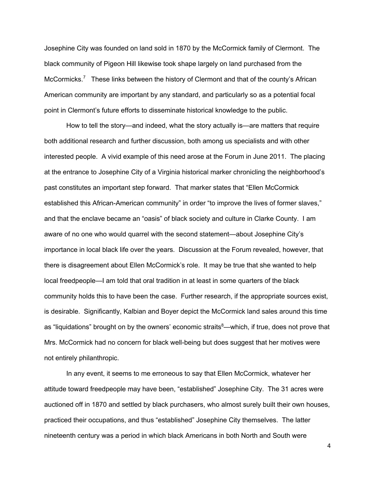Josephine City was founded on land sold in 1870 by the McCormick family of Clermont. The black community of Pigeon Hill likewise took shape largely on land purchased from the McCormicks.<sup>7</sup> These links between the history of Clermont and that of the county's African American community are important by any standard, and particularly so as a potential focal point in Clermont's future efforts to disseminate historical knowledge to the public.

How to tell the story—and indeed, what the story actually is—are matters that require both additional research and further discussion, both among us specialists and with other interested people. A vivid example of this need arose at the Forum in June 2011. The placing at the entrance to Josephine City of a Virginia historical marker chronicling the neighborhood's past constitutes an important step forward. That marker states that "Ellen McCormick established this African-American community" in order "to improve the lives of former slaves," and that the enclave became an "oasis" of black society and culture in Clarke County. I am aware of no one who would quarrel with the second statement—about Josephine City's importance in local black life over the years. Discussion at the Forum revealed, however, that there is disagreement about Ellen McCormick's role. It may be true that she wanted to help local freedpeople—I am told that oral tradition in at least in some quarters of the black community holds this to have been the case. Further research, if the appropriate sources exist, is desirable. Significantly, Kalbian and Boyer depict the McCormick land sales around this time as "liquidations" brought on by the owners' economic straits<sup>8</sup>—which, if true, does not prove that Mrs. McCormick had no concern for black well-being but does suggest that her motives were not entirely philanthropic.

In any event, it seems to me erroneous to say that Ellen McCormick, whatever her attitude toward freedpeople may have been, "established" Josephine City. The 31 acres were auctioned off in 1870 and settled by black purchasers, who almost surely built their own houses, practiced their occupations, and thus "established" Josephine City themselves. The latter nineteenth century was a period in which black Americans in both North and South were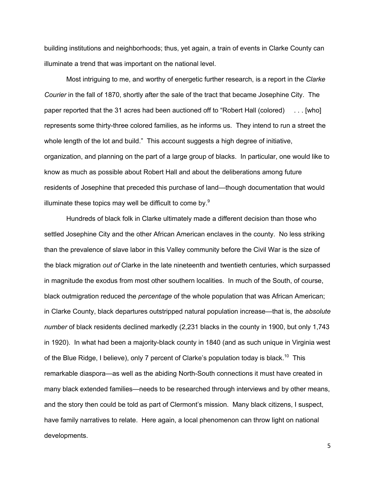building institutions and neighborhoods; thus, yet again, a train of events in Clarke County can illuminate a trend that was important on the national level.

Most intriguing to me, and worthy of energetic further research, is a report in the *Clarke Courier* in the fall of 1870, shortly after the sale of the tract that became Josephine City. The paper reported that the 31 acres had been auctioned off to "Robert Hall (colored) . . . [who] represents some thirty-three colored families, as he informs us. They intend to run a street the whole length of the lot and build." This account suggests a high degree of initiative, organization, and planning on the part of a large group of blacks. In particular, one would like to know as much as possible about Robert Hall and about the deliberations among future residents of Josephine that preceded this purchase of land—though documentation that would illuminate these topics may well be difficult to come by. $9$ 

Hundreds of black folk in Clarke ultimately made a different decision than those who settled Josephine City and the other African American enclaves in the county. No less striking than the prevalence of slave labor in this Valley community before the Civil War is the size of the black migration *out of* Clarke in the late nineteenth and twentieth centuries, which surpassed in magnitude the exodus from most other southern localities. In much of the South, of course, black outmigration reduced the *percentage* of the whole population that was African American; in Clarke County, black departures outstripped natural population increase—that is, the *absolute number* of black residents declined markedly (2,231 blacks in the county in 1900, but only 1,743 in 1920). In what had been a majority-black county in 1840 (and as such unique in Virginia west of the Blue Ridge, I believe), only 7 percent of Clarke's population today is black.<sup>10</sup> This remarkable diaspora—as well as the abiding North-South connections it must have created in many black extended families—needs to be researched through interviews and by other means, and the story then could be told as part of Clermont's mission. Many black citizens, I suspect, have family narratives to relate. Here again, a local phenomenon can throw light on national developments.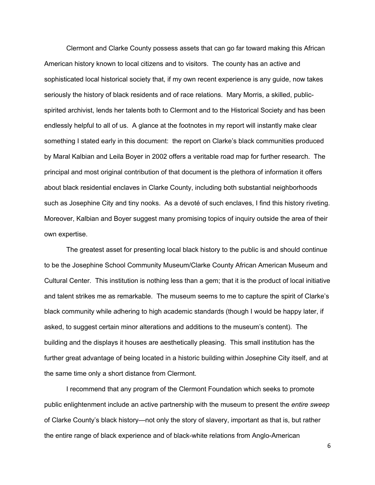Clermont and Clarke County possess assets that can go far toward making this African American history known to local citizens and to visitors. The county has an active and sophisticated local historical society that, if my own recent experience is any guide, now takes seriously the history of black residents and of race relations. Mary Morris, a skilled, publicspirited archivist, lends her talents both to Clermont and to the Historical Society and has been endlessly helpful to all of us. A glance at the footnotes in my report will instantly make clear something I stated early in this document: the report on Clarke's black communities produced by Maral Kalbian and Leila Boyer in 2002 offers a veritable road map for further research. The principal and most original contribution of that document is the plethora of information it offers about black residential enclaves in Clarke County, including both substantial neighborhoods such as Josephine City and tiny nooks. As a devoté of such enclaves, I find this history riveting. Moreover, Kalbian and Boyer suggest many promising topics of inquiry outside the area of their own expertise.

The greatest asset for presenting local black history to the public is and should continue to be the Josephine School Community Museum/Clarke County African American Museum and Cultural Center. This institution is nothing less than a gem; that it is the product of local initiative and talent strikes me as remarkable. The museum seems to me to capture the spirit of Clarke's black community while adhering to high academic standards (though I would be happy later, if asked, to suggest certain minor alterations and additions to the museum's content). The building and the displays it houses are aesthetically pleasing. This small institution has the further great advantage of being located in a historic building within Josephine City itself, and at the same time only a short distance from Clermont.

I recommend that any program of the Clermont Foundation which seeks to promote public enlightenment include an active partnership with the museum to present the *entire sweep* of Clarke County's black history—not only the story of slavery, important as that is, but rather the entire range of black experience and of black-white relations from Anglo-American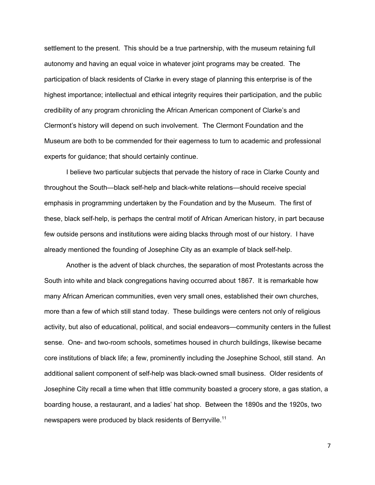settlement to the present. This should be a true partnership, with the museum retaining full autonomy and having an equal voice in whatever joint programs may be created. The participation of black residents of Clarke in every stage of planning this enterprise is of the highest importance; intellectual and ethical integrity requires their participation, and the public credibility of any program chronicling the African American component of Clarke's and Clermont's history will depend on such involvement. The Clermont Foundation and the Museum are both to be commended for their eagerness to turn to academic and professional experts for guidance; that should certainly continue.

I believe two particular subjects that pervade the history of race in Clarke County and throughout the South—black self-help and black-white relations—should receive special emphasis in programming undertaken by the Foundation and by the Museum. The first of these, black self-help, is perhaps the central motif of African American history, in part because few outside persons and institutions were aiding blacks through most of our history. I have already mentioned the founding of Josephine City as an example of black self-help.

Another is the advent of black churches, the separation of most Protestants across the South into white and black congregations having occurred about 1867. It is remarkable how many African American communities, even very small ones, established their own churches, more than a few of which still stand today. These buildings were centers not only of religious activity, but also of educational, political, and social endeavors—community centers in the fullest sense. One- and two-room schools, sometimes housed in church buildings, likewise became core institutions of black life; a few, prominently including the Josephine School, still stand. An additional salient component of self-help was black-owned small business. Older residents of Josephine City recall a time when that little community boasted a grocery store, a gas station, a boarding house, a restaurant, and a ladies' hat shop. Between the 1890s and the 1920s, two newspapers were produced by black residents of Berryville.<sup>11</sup>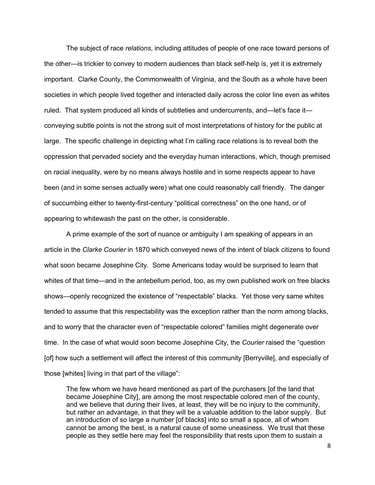The subject of race *relations*, including attitudes of people of one race toward persons of the other—is trickier to convey to modern audiences than black self-help is, yet it is extremely important. Clarke County, the Commonwealth of Virginia, and the South as a whole have been societies in which people lived together and interacted daily across the color line even as whites ruled. That system produced all kinds of subtleties and undercurrents, and—let's face it conveying subtle points is not the strong suit of most interpretations of history for the public at large. The specific challenge in depicting what I'm calling race relations is to reveal both the oppression that pervaded society and the everyday human interactions, which, though premised on racial inequality, were by no means always hostile and in some respects appear to have been (and in some senses actually were) what one could reasonably call friendly. The danger of succumbing either to twenty-first-century "political correctness" on the one hand, or of appearing to whitewash the past on the other, is considerable.

A prime example of the sort of nuance or ambiguity I am speaking of appears in an article in the *Clarke Courier* in 1870 which conveyed news of the intent of black citizens to found what soon became Josephine City. Some Americans today would be surprised to learn that whites of that time—and in the antebellum period, too, as my own published work on free blacks shows—openly recognized the existence of "respectable" blacks. Yet those very same whites tended to assume that this respectability was the exception rather than the norm among blacks, and to worry that the character even of "respectable colored" families might degenerate over time. In the case of what would soon become Josephine City, the *Courier* raised the "question [of] how such a settlement will affect the interest of this community [Berryville], and especially of those [whites] living in that part of the village":

The few whom we have heard mentioned as part of the purchasers [of the land that became Josephine City], are among the most respectable colored men of the county, and we believe that during their lives, at least, they will be no injury to the community, but rather an advantage, in that they will be a valuable addition to the labor supply. But an introduction of so large a number [of blacks] into so small a space, all of whom cannot be among the best, is a natural cause of some uneasiness. We trust that these people as they settle here may feel the responsibility that rests upon them to sustain a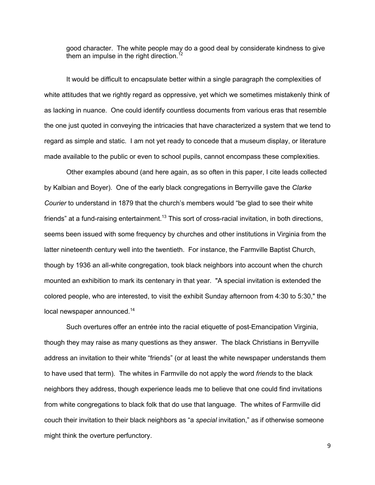good character. The white people may do a good deal by considerate kindness to give them an impulse in the right direction.<sup>12</sup>

It would be difficult to encapsulate better within a single paragraph the complexities of white attitudes that we rightly regard as oppressive, yet which we sometimes mistakenly think of as lacking in nuance. One could identify countless documents from various eras that resemble the one just quoted in conveying the intricacies that have characterized a system that we tend to regard as simple and static. I am not yet ready to concede that a museum display, or literature made available to the public or even to school pupils, cannot encompass these complexities.

Other examples abound (and here again, as so often in this paper, I cite leads collected by Kalbian and Boyer). One of the early black congregations in Berryville gave the *Clarke Courier* to understand in 1879 that the church's members would "be glad to see their white friends" at a fund-raising entertainment.<sup>13</sup> This sort of cross-racial invitation, in both directions, seems been issued with some frequency by churches and other institutions in Virginia from the latter nineteenth century well into the twentieth. For instance, the Farmville Baptist Church, though by 1936 an all-white congregation, took black neighbors into account when the church mounted an exhibition to mark its centenary in that year. "A special invitation is extended the colored people, who are interested, to visit the exhibit Sunday afternoon from 4:30 to 5:30," the local newspaper announced.<sup>14</sup>

Such overtures offer an entrée into the racial etiquette of post-Emancipation Virginia, though they may raise as many questions as they answer. The black Christians in Berryville address an invitation to their white "friends" (or at least the white newspaper understands them to have used that term). The whites in Farmville do not apply the word *friends* to the black neighbors they address, though experience leads me to believe that one could find invitations from white congregations to black folk that do use that language. The whites of Farmville did couch their invitation to their black neighbors as "a *special* invitation," as if otherwise someone might think the overture perfunctory.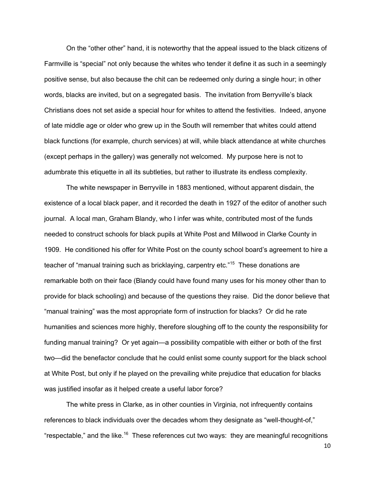On the "other other" hand, it is noteworthy that the appeal issued to the black citizens of Farmville is "special" not only because the whites who tender it define it as such in a seemingly positive sense, but also because the chit can be redeemed only during a single hour; in other words, blacks are invited, but on a segregated basis. The invitation from Berryville's black Christians does not set aside a special hour for whites to attend the festivities. Indeed, anyone of late middle age or older who grew up in the South will remember that whites could attend black functions (for example, church services) at will, while black attendance at white churches (except perhaps in the gallery) was generally not welcomed. My purpose here is not to adumbrate this etiquette in all its subtleties, but rather to illustrate its endless complexity.

The white newspaper in Berryville in 1883 mentioned, without apparent disdain, the existence of a local black paper, and it recorded the death in 1927 of the editor of another such journal. A local man, Graham Blandy, who I infer was white, contributed most of the funds needed to construct schools for black pupils at White Post and Millwood in Clarke County in 1909. He conditioned his offer for White Post on the county school board's agreement to hire a teacher of "manual training such as bricklaying, carpentry etc."<sup>15</sup> These donations are remarkable both on their face (Blandy could have found many uses for his money other than to provide for black schooling) and because of the questions they raise. Did the donor believe that "manual training" was the most appropriate form of instruction for blacks? Or did he rate humanities and sciences more highly, therefore sloughing off to the county the responsibility for funding manual training? Or yet again—a possibility compatible with either or both of the first two—did the benefactor conclude that he could enlist some county support for the black school at White Post, but only if he played on the prevailing white prejudice that education for blacks was justified insofar as it helped create a useful labor force?

The white press in Clarke, as in other counties in Virginia, not infrequently contains references to black individuals over the decades whom they designate as "well-thought-of," "respectable," and the like.<sup>16</sup> These references cut two ways: they are meaningful recognitions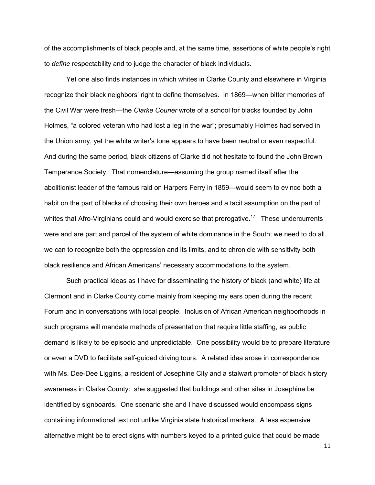of the accomplishments of black people and, at the same time, assertions of white people's right to *define* respectability and to judge the character of black individuals.

Yet one also finds instances in which whites in Clarke County and elsewhere in Virginia recognize their black neighbors' right to define themselves. In 1869—when bitter memories of the Civil War were fresh—the *Clarke Courier* wrote of a school for blacks founded by John Holmes, "a colored veteran who had lost a leg in the war"; presumably Holmes had served in the Union army, yet the white writer's tone appears to have been neutral or even respectful. And during the same period, black citizens of Clarke did not hesitate to found the John Brown Temperance Society. That nomenclature—assuming the group named itself after the abolitionist leader of the famous raid on Harpers Ferry in 1859—would seem to evince both a habit on the part of blacks of choosing their own heroes and a tacit assumption on the part of whites that Afro-Virginians could and would exercise that prerogative.<sup>17</sup> These undercurrents were and are part and parcel of the system of white dominance in the South; we need to do all we can to recognize both the oppression and its limits, and to chronicle with sensitivity both black resilience and African Americans' necessary accommodations to the system.

Such practical ideas as I have for disseminating the history of black (and white) life at Clermont and in Clarke County come mainly from keeping my ears open during the recent Forum and in conversations with local people. Inclusion of African American neighborhoods in such programs will mandate methods of presentation that require little staffing, as public demand is likely to be episodic and unpredictable. One possibility would be to prepare literature or even a DVD to facilitate self-guided driving tours. A related idea arose in correspondence with Ms. Dee-Dee Liggins, a resident of Josephine City and a stalwart promoter of black history awareness in Clarke County: she suggested that buildings and other sites in Josephine be identified by signboards. One scenario she and I have discussed would encompass signs containing informational text not unlike Virginia state historical markers. A less expensive alternative might be to erect signs with numbers keyed to a printed guide that could be made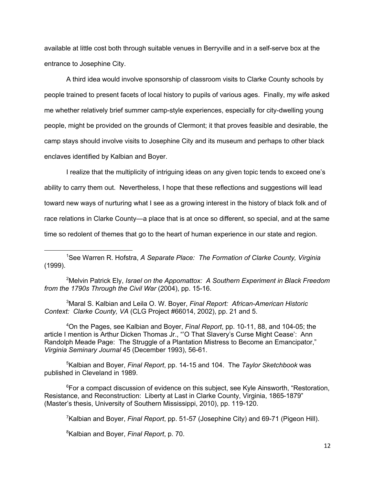available at little cost both through suitable venues in Berryville and in a self-serve box at the entrance to Josephine City.

A third idea would involve sponsorship of classroom visits to Clarke County schools by people trained to present facets of local history to pupils of various ages. Finally, my wife asked me whether relatively brief summer camp-style experiences, especially for city-dwelling young people, might be provided on the grounds of Clermont; it that proves feasible and desirable, the camp stays should involve visits to Josephine City and its museum and perhaps to other black enclaves identified by Kalbian and Boyer.

I realize that the multiplicity of intriguing ideas on any given topic tends to exceed one's ability to carry them out. Nevertheless, I hope that these reflections and suggestions will lead toward new ways of nurturing what I see as a growing interest in the history of black folk and of race relations in Clarke County—a place that is at once so different, so special, and at the same time so redolent of themes that go to the heart of human experience in our state and region.

1 See Warren R. Hofstra, *A Separate Place: The Formation of Clarke County, Virginia* (1999).

2 Melvin Patrick Ely, *Israel on the Appomattox: A Southern Experiment in Black Freedom from the 1790s Through the Civil War* (2004), pp. 15-16.

3 Maral S. Kalbian and Leila O. W. Boyer, *Final Report: African-American Historic Context: Clarke County, VA* (CLG Project #66014, 2002), pp. 21 and 5.

4 On the Pages, see Kalbian and Boyer, *Final Report*, pp. 10-11, 88, and 104-05; the article I mention is Arthur Dicken Thomas Jr., "'O That Slavery's Curse Might Cease': Ann Randolph Meade Page: The Struggle of a Plantation Mistress to Become an Emancipator," *Virginia Seminary Journal* 45 (December 1993), 56-61.

5 Kalbian and Boyer, *Final Report*, pp. 14-15 and 104. The *Taylor Sketchbook* was published in Cleveland in 1989.

<sup>6</sup>For a compact discussion of evidence on this subject, see Kyle Ainsworth, "Restoration, Resistance, and Reconstruction: Liberty at Last in Clarke County, Virginia, 1865-1879" (Master's thesis, University of Southern Mississippi, 2010), pp. 119-120.

7 Kalbian and Boyer, *Final Report*, pp. 51-57 (Josephine City) and 69-71 (Pigeon Hill).

8 Kalbian and Boyer, *Final Report*, p. 70.